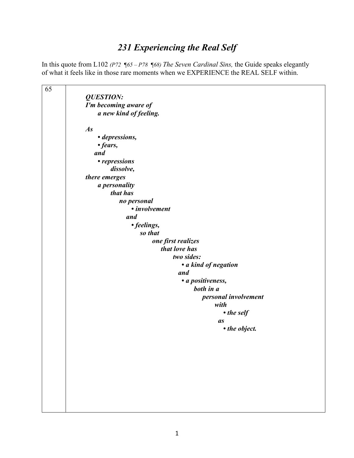## *231 Experiencing the Real Self*

In this quote from L102 *(P72 ¶65 – P78 ¶68) The Seven Cardinal Sins,* the Guide speaks elegantly of what it feels like in those rare moments when we EXPERIENCE the REAL SELF within.

| 65 |                        |
|----|------------------------|
|    | <b>QUESTION:</b>       |
|    | I'm becoming aware of  |
|    | a new kind of feeling. |
|    |                        |
|    | As                     |
|    | • depressions,         |
|    | • fears,               |
|    | and                    |
|    | • repressions          |
|    | dissolve,              |
|    | there emerges          |
|    | <i>a personality</i>   |
|    | that has               |
|    | no personal            |
|    | • involvement          |
|    | and                    |
|    | • feelings,            |
|    | so that                |
|    | one first realizes     |
|    | that love has          |
|    | two sides:             |
|    | • a kind of negation   |
|    | and                    |
|    | • a positiveness,      |
|    | both in a              |
|    | personal involvement   |
|    | with                   |
|    | • the self             |
|    | <i>as</i>              |
|    | • the object.          |
|    |                        |
|    |                        |
|    |                        |
|    |                        |
|    |                        |
|    |                        |
|    |                        |
|    |                        |
|    |                        |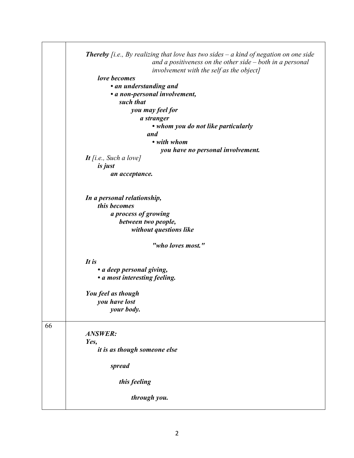|    | <b>Thereby</b> [i.e., By realizing that love has two sides $-a$ kind of negation on one side<br>and a positiveness on the other side $-$ both in a personal<br>involvement with the self as the object] |
|----|---------------------------------------------------------------------------------------------------------------------------------------------------------------------------------------------------------|
|    | love becomes                                                                                                                                                                                            |
|    | • an understanding and                                                                                                                                                                                  |
|    | • a non-personal involvement,                                                                                                                                                                           |
|    | such that                                                                                                                                                                                               |
|    | you may feel for                                                                                                                                                                                        |
|    | a stranger                                                                                                                                                                                              |
|    | • whom you do not like particularly                                                                                                                                                                     |
|    | and                                                                                                                                                                                                     |
|    | • with whom                                                                                                                                                                                             |
|    | you have no personal involvement.                                                                                                                                                                       |
|    | It [i.e., Such a love]                                                                                                                                                                                  |
|    | is just                                                                                                                                                                                                 |
|    | an acceptance.                                                                                                                                                                                          |
|    |                                                                                                                                                                                                         |
|    | In a personal relationship,                                                                                                                                                                             |
|    | this becomes                                                                                                                                                                                            |
|    | a process of growing                                                                                                                                                                                    |
|    | between two people,                                                                                                                                                                                     |
|    | without questions like                                                                                                                                                                                  |
|    | "who loves most."                                                                                                                                                                                       |
|    | It is                                                                                                                                                                                                   |
|    | • a deep personal giving,                                                                                                                                                                               |
|    | • a most interesting feeling.                                                                                                                                                                           |
|    | You feel as though                                                                                                                                                                                      |
|    | you have lost                                                                                                                                                                                           |
|    | your body.                                                                                                                                                                                              |
| 66 |                                                                                                                                                                                                         |
|    | <b>ANSWER:</b>                                                                                                                                                                                          |
|    | Yes,                                                                                                                                                                                                    |
|    | it is as though someone else                                                                                                                                                                            |
|    | spread                                                                                                                                                                                                  |
|    | this feeling                                                                                                                                                                                            |
|    | through you.                                                                                                                                                                                            |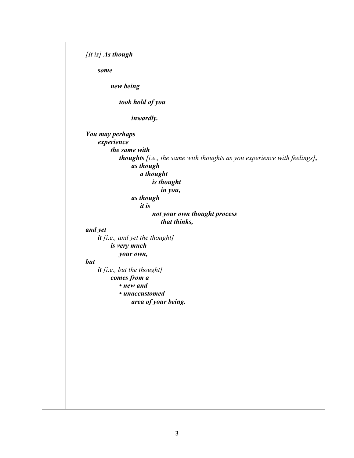*[It is] As though some new being took hold of you inwardly. You may perhaps experience the same with thoughts [i.e., the same with thoughts as you experience with feelings], as though a thought is thought in you, as though it is not your own thought process that thinks, and yet it [i.e., and yet the thought] is very much your own, but it [i.e., but the thought] comes from a • new and • unaccustomed area of your being.*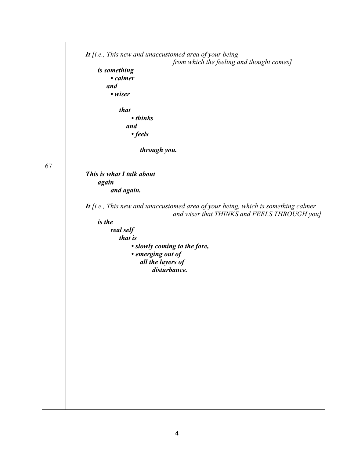|    | It [i.e., This new and unaccustomed area of your being                                                                            |
|----|-----------------------------------------------------------------------------------------------------------------------------------|
|    | from which the feeling and thought comes]                                                                                         |
|    | is something                                                                                                                      |
|    | • calmer                                                                                                                          |
|    | and                                                                                                                               |
|    | • wiser                                                                                                                           |
|    | that                                                                                                                              |
|    | • thinks                                                                                                                          |
|    | and                                                                                                                               |
|    | $\cdot$ feels                                                                                                                     |
|    | through you.                                                                                                                      |
| 67 |                                                                                                                                   |
|    | This is what I talk about                                                                                                         |
|    | again                                                                                                                             |
|    | and again.                                                                                                                        |
|    | It [i.e., This new and unaccustomed area of your being, which is something calmer<br>and wiser that THINKS and FEELS THROUGH you] |
|    | is the                                                                                                                            |
|    | real self                                                                                                                         |
|    | that is                                                                                                                           |
|    | • slowly coming to the fore,                                                                                                      |
|    | • emerging out of                                                                                                                 |
|    | all the layers of                                                                                                                 |
|    | disturbance.                                                                                                                      |
|    |                                                                                                                                   |
|    |                                                                                                                                   |
|    |                                                                                                                                   |
|    |                                                                                                                                   |
|    |                                                                                                                                   |
|    |                                                                                                                                   |
|    |                                                                                                                                   |
|    |                                                                                                                                   |
|    |                                                                                                                                   |
|    |                                                                                                                                   |
|    |                                                                                                                                   |
|    |                                                                                                                                   |
|    |                                                                                                                                   |
|    |                                                                                                                                   |
|    |                                                                                                                                   |
|    |                                                                                                                                   |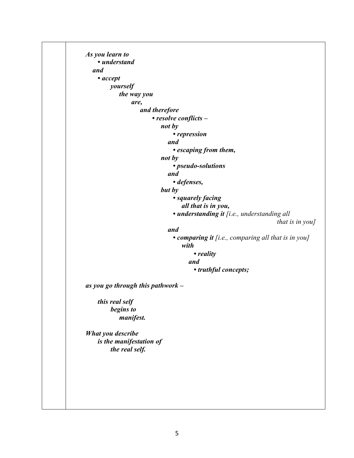```
As you learn to 
      • understand 
   and 
     • accept 
         yourself 
              the way you 
                 are, 
                      and therefore 
                          • resolve conflicts –
                              not by 
                                  • repression 
                                 and 
                                  • escaping from them, 
                              not by 
                                  • pseudo-solutions 
                                 and 
                                  • defenses, 
                              but by 
                                  • squarely facing 
                                      all that is in you, 
                                  • understanding it [i.e., understanding all 
                                                                           that is in you]
                                 and 
                                  • comparing it [i.e., comparing all that is in you]
                                      with 
                                          • reality 
                                         and 
                                          • truthful concepts; 
as you go through this pathwork –
     this real self 
         begins to 
              manifest. 
What you describe 
     is the manifestation of 
         the real self.
```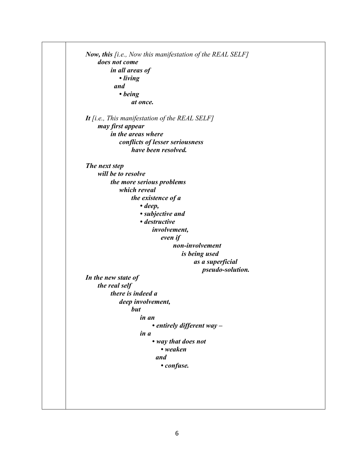*Now, this [i.e., Now this manifestation of the REAL SELF] does not come in all areas of • living and • being at once. It [i.e., This manifestation of the REAL SELF] may first appear in the areas where conflicts of lesser seriousness have been resolved. The next step will be to resolve the more serious problems which reveal the existence of a • deep, • subjective and • destructive involvement, even if non-involvement is being used as a superficial pseudo-solution. In the new state of the real self there is indeed a deep involvement, but in an • entirely different way – in a • way that does not • weaken and • confuse.*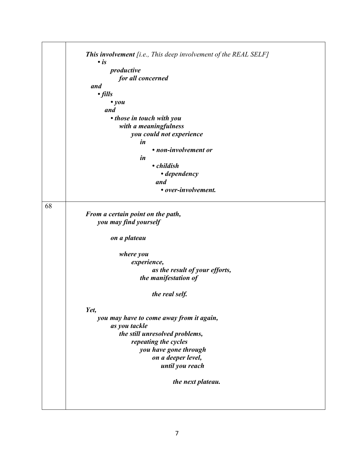|    | <b>This involvement</b> [i.e., This deep involvement of the REAL SELF] |
|----|------------------------------------------------------------------------|
|    | $\cdot$ is                                                             |
|    | productive                                                             |
|    | for all concerned                                                      |
|    | and                                                                    |
|    | • fills                                                                |
|    | $\bullet$ you                                                          |
|    | and                                                                    |
|    | • those in touch with you                                              |
|    | with a meaningfulness                                                  |
|    | you could not experience                                               |
|    | in                                                                     |
|    | • non-involvement or                                                   |
|    | $\dot{i}n$                                                             |
|    | • childish                                                             |
|    | • dependency                                                           |
|    | and                                                                    |
|    | • over-involvement.                                                    |
| 68 |                                                                        |
|    | From a certain point on the path,                                      |
|    | you may find yourself                                                  |
|    | on a plateau                                                           |
|    | where you                                                              |
|    | experience,                                                            |
|    | as the result of your efforts,                                         |
|    | the manifestation of                                                   |
|    | the real self.                                                         |
|    | Yet,                                                                   |
|    | you may have to come away from it again,                               |
|    | as you tackle                                                          |
|    | the still unresolved problems,                                         |
|    | repeating the cycles                                                   |
|    | you have gone through                                                  |
|    | on a deeper level,                                                     |
|    | until you reach                                                        |
|    | the next plateau.                                                      |
|    |                                                                        |